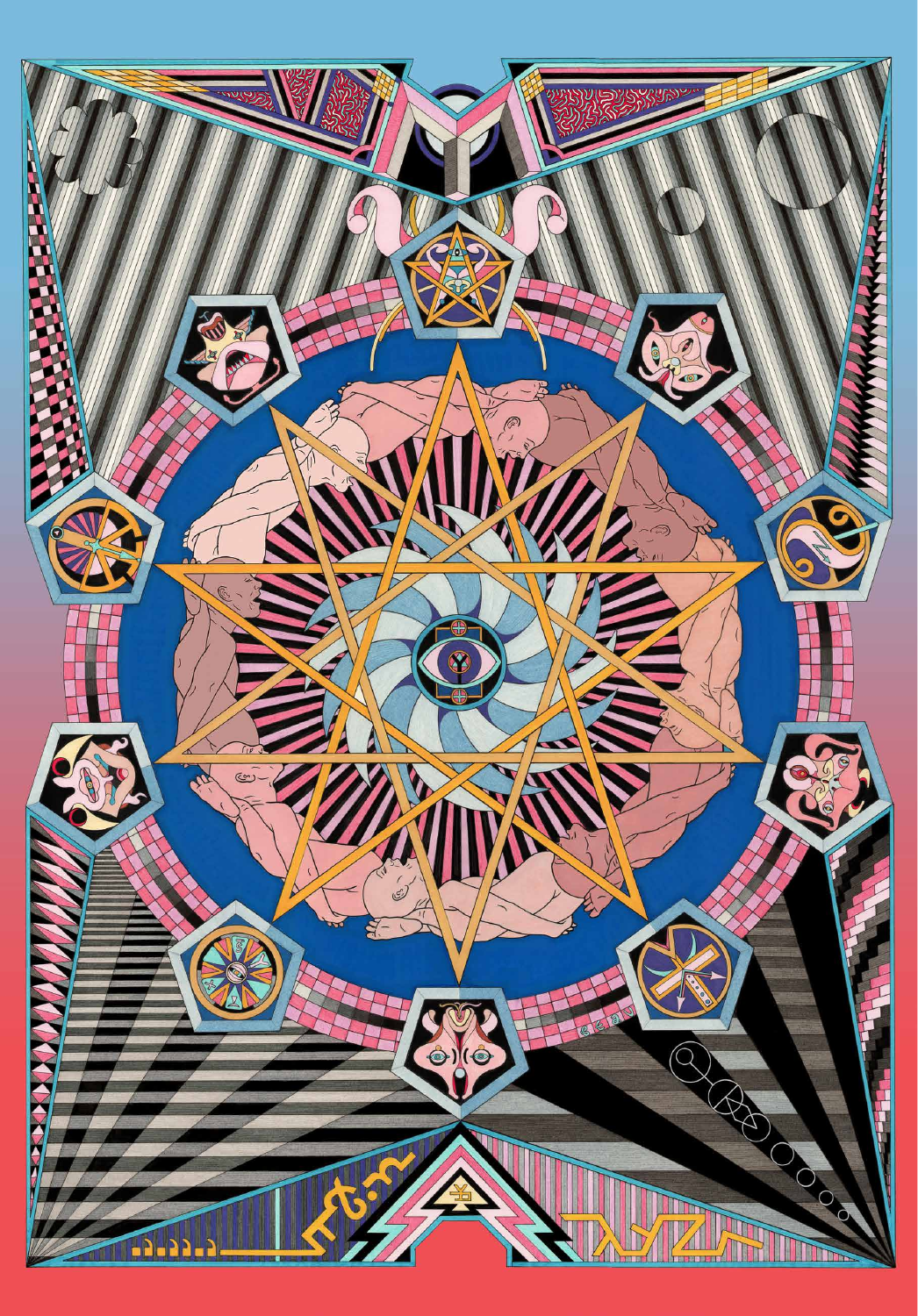